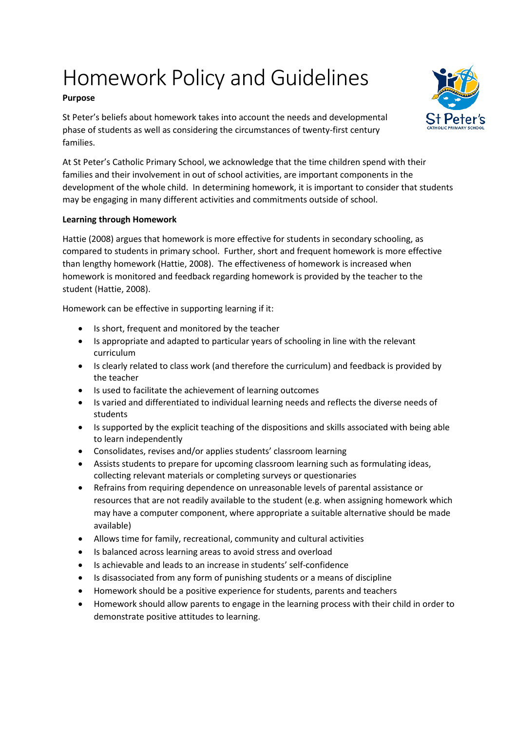# Homework Policy and Guidelines

## **Purpose**

St Peter's beliefs about homework takes into account the needs and developmental phase of students as well as considering the circumstances of twenty-first century families.

At St Peter's Catholic Primary School, we acknowledge that the time children spend with their families and their involvement in out of school activities, are important components in the development of the whole child. In determining homework, it is important to consider that students may be engaging in many different activities and commitments outside of school.

## **Learning through Homework**

Hattie (2008) argues that homework is more effective for students in secondary schooling, as compared to students in primary school. Further, short and frequent homework is more effective than lengthy homework (Hattie, 2008). The effectiveness of homework is increased when homework is monitored and feedback regarding homework is provided by the teacher to the student (Hattie, 2008).

Homework can be effective in supporting learning if it:

- Is short, frequent and monitored by the teacher
- Is appropriate and adapted to particular years of schooling in line with the relevant curriculum
- Is clearly related to class work (and therefore the curriculum) and feedback is provided by the teacher
- Is used to facilitate the achievement of learning outcomes
- Is varied and differentiated to individual learning needs and reflects the diverse needs of students
- Is supported by the explicit teaching of the dispositions and skills associated with being able to learn independently
- Consolidates, revises and/or applies students' classroom learning
- Assists students to prepare for upcoming classroom learning such as formulating ideas, collecting relevant materials or completing surveys or questionaries
- Refrains from requiring dependence on unreasonable levels of parental assistance or resources that are not readily available to the student (e.g. when assigning homework which may have a computer component, where appropriate a suitable alternative should be made available)
- Allows time for family, recreational, community and cultural activities
- Is balanced across learning areas to avoid stress and overload
- Is achievable and leads to an increase in students' self-confidence
- Is disassociated from any form of punishing students or a means of discipline
- Homework should be a positive experience for students, parents and teachers
- Homework should allow parents to engage in the learning process with their child in order to demonstrate positive attitudes to learning.

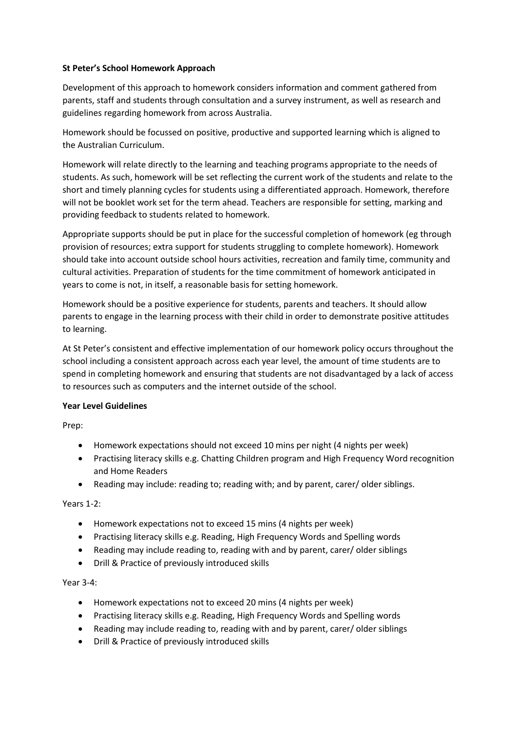#### **St Peter's School Homework Approach**

Development of this approach to homework considers information and comment gathered from parents, staff and students through consultation and a survey instrument, as well as research and guidelines regarding homework from across Australia.

Homework should be focussed on positive, productive and supported learning which is aligned to the Australian Curriculum.

Homework will relate directly to the learning and teaching programs appropriate to the needs of students. As such, homework will be set reflecting the current work of the students and relate to the short and timely planning cycles for students using a differentiated approach. Homework, therefore will not be booklet work set for the term ahead. Teachers are responsible for setting, marking and providing feedback to students related to homework.

Appropriate supports should be put in place for the successful completion of homework (eg through provision of resources; extra support for students struggling to complete homework). Homework should take into account outside school hours activities, recreation and family time, community and cultural activities. Preparation of students for the time commitment of homework anticipated in years to come is not, in itself, a reasonable basis for setting homework.

Homework should be a positive experience for students, parents and teachers. It should allow parents to engage in the learning process with their child in order to demonstrate positive attitudes to learning.

At St Peter's consistent and effective implementation of our homework policy occurs throughout the school including a consistent approach across each year level, the amount of time students are to spend in completing homework and ensuring that students are not disadvantaged by a lack of access to resources such as computers and the internet outside of the school.

#### **Year Level Guidelines**

Prep:

- Homework expectations should not exceed 10 mins per night (4 nights per week)
- Practising literacy skills e.g. Chatting Children program and High Frequency Word recognition and Home Readers
- Reading may include: reading to; reading with; and by parent, carer/ older siblings.

Years 1-2:

- Homework expectations not to exceed 15 mins (4 nights per week)
- Practising literacy skills e.g. Reading, High Frequency Words and Spelling words
- Reading may include reading to, reading with and by parent, carer/ older siblings
- Drill & Practice of previously introduced skills

#### Year 3-4:

- Homework expectations not to exceed 20 mins (4 nights per week)
- Practising literacy skills e.g. Reading, High Frequency Words and Spelling words
- Reading may include reading to, reading with and by parent, carer/ older siblings
- Drill & Practice of previously introduced skills